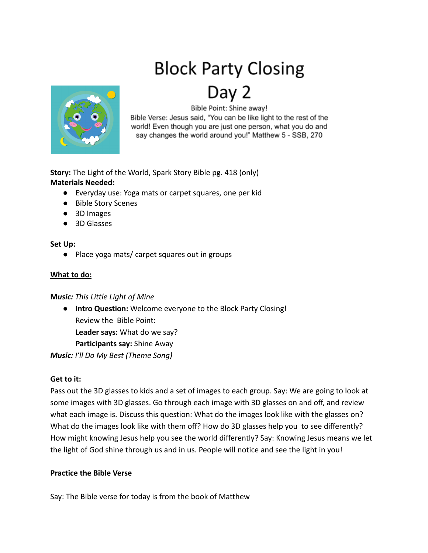# **Block Party Closing**



# Bible Point: Shine away!

Bible Verse: Jesus said, "You can be like light to the rest of the world! Even though you are just one person, what you do and say changes the world around you!" Matthew 5 - SSB, 270

**Story:** The Light of the World, Spark Story Bible pg. 418 (only) **Materials Needed:**

- Everyday use: Yoga mats or carpet squares, one per kid
- Bible Story Scenes
- 3D Images
- 3D Glasses

#### **Set Up:**

● Place yoga mats/ carpet squares out in groups

#### **What to do:**

#### **M***usic: This Little Light of Mine*

● **Intro Question:** Welcome everyone to the Block Party Closing! Review the Bible Point: **Leader says:** What do we say?

**Participants say:** Shine Away

*Music: I'll Do My Best (Theme Song)*

## **Get to it:**

Pass out the 3D glasses to kids and a set of images to each group. Say: We are going to look at some images with 3D glasses. Go through each image with 3D glasses on and off, and review what each image is. Discuss this question: What do the images look like with the glasses on? What do the images look like with them off? How do 3D glasses help you to see differently? How might knowing Jesus help you see the world differently? Say: Knowing Jesus means we let the light of God shine through us and in us. People will notice and see the light in you!

## **Practice the Bible Verse**

Say: The Bible verse for today is from the book of Matthew